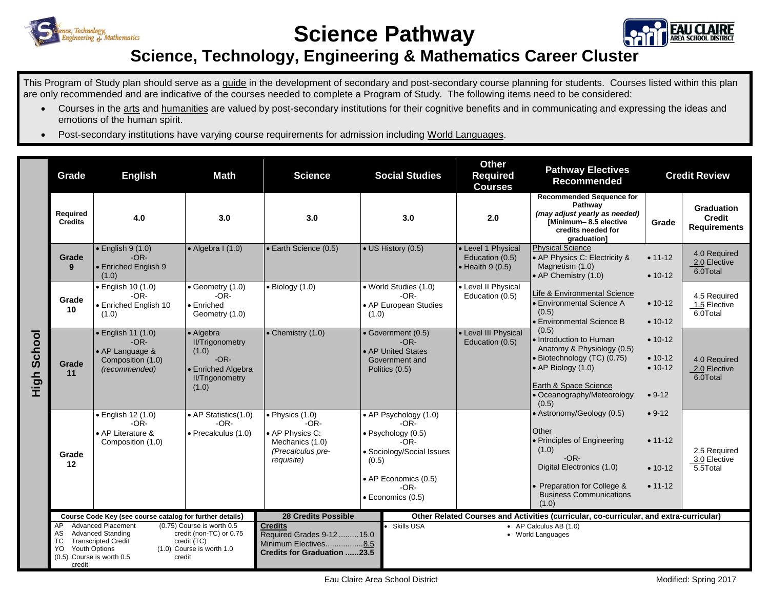

**Science Pathway**



## **Science, Technology, Engineering & Mathematics Career Cluster**

This Program of Study plan should serve as a guide in the development of secondary and post-secondary course planning for students. Courses listed within this plan are only recommended and are indicative of the courses needed to complete a Program of Study. The following items need to be considered:

- Courses in the arts and humanities are valued by post-secondary institutions for their cognitive benefits and in communicating and expressing the ideas and emotions of the human spirit.
- Post-secondary institutions have varying course requirements for admission including World Languages.

|                | Grade                                                                                                                                                                                                                                                                                      | <b>English</b>                                                                        | <b>Math</b>                                                                                                     | <b>Science</b>                                                                                             |       | <b>Social Studies</b>                                                                                                                               | <b>Other</b><br><b>Required</b><br><b>Courses</b>                                                                                                                                                                                      | <b>Pathway Electives</b><br><b>Recommended</b>                                                                                                                                              | <b>Credit Review</b>                                |                                                           |
|----------------|--------------------------------------------------------------------------------------------------------------------------------------------------------------------------------------------------------------------------------------------------------------------------------------------|---------------------------------------------------------------------------------------|-----------------------------------------------------------------------------------------------------------------|------------------------------------------------------------------------------------------------------------|-------|-----------------------------------------------------------------------------------------------------------------------------------------------------|----------------------------------------------------------------------------------------------------------------------------------------------------------------------------------------------------------------------------------------|---------------------------------------------------------------------------------------------------------------------------------------------------------------------------------------------|-----------------------------------------------------|-----------------------------------------------------------|
|                | <b>Required</b><br><b>Credits</b>                                                                                                                                                                                                                                                          | 4.0                                                                                   | 3.0                                                                                                             | 3.0                                                                                                        |       | 3.0                                                                                                                                                 | 2.0                                                                                                                                                                                                                                    | <b>Recommended Sequence for</b><br>Pathway<br>(may adjust yearly as needed)<br>[Minimum-8.5 elective<br>credits needed for<br>graduation]                                                   | Grade                                               | <b>Graduation</b><br><b>Credit</b><br><b>Requirements</b> |
| School<br>High | Grade<br>9                                                                                                                                                                                                                                                                                 | $\bullet$ English 9 (1.0)<br>$-OR-$<br>• Enriched English 9<br>(1.0)                  | $\bullet$ Algebra I (1.0)                                                                                       | • Earth Science (0.5)                                                                                      |       | • US History (0.5)                                                                                                                                  | • Level 1 Physical<br>Education (0.5)<br>$\bullet$ Health 9 (0.5)                                                                                                                                                                      | <b>Physical Science</b><br>• AP Physics C: Electricity &<br>Magnetism (1.0)<br>• AP Chemistry (1.0)                                                                                         | $• 11 - 12$<br>$• 10-12$                            | 4.0 Required<br>2.0 Elective<br>6.0Total                  |
|                | Grade<br>10                                                                                                                                                                                                                                                                                | $\bullet$ English 10 (1.0)<br>$-OR-$<br><b>Enriched English 10</b><br>(1.0)           | $\bullet$ Geometry (1.0)<br>$-OR-$<br>$\bullet$ Enriched<br>Geometry (1.0)                                      | $\bullet$ Biology (1.0)                                                                                    | (1.0) | • World Studies (1.0)<br>$-OR-$<br>• AP European Studies                                                                                            | • Level II Physical<br>Education (0.5)                                                                                                                                                                                                 | Life & Environmental Science<br>• Environmental Science A<br>(0.5)<br>• Environmental Science B                                                                                             | $• 10-12$<br>$• 10-12$                              | 4.5 Required<br>1.5 Elective<br>6.0Total                  |
|                | Grade<br>11                                                                                                                                                                                                                                                                                | · English 11 (1.0)<br>$-OR-$<br>• AP Language &<br>Composition (1.0)<br>(recommended) | • Algebra<br><b>II/Trigonometry</b><br>(1.0)<br>$-OR-$<br>• Enriched Algebra<br><b>II/Trigonometry</b><br>(1.0) | $\bullet$ Chemistry (1.0)                                                                                  |       | · Government (0.5)<br>$-OR-$<br>• AP United States<br>Government and<br>Politics (0.5)                                                              | (0.5)<br>• Level III Physical<br>• Introduction to Human<br>Education (0.5)<br>Anatomy & Physiology (0.5)<br>· Biotechnology (TC) (0.75)<br>$\bullet$ AP Biology (1.0)<br>Earth & Space Science<br>• Oceanography/Meteorology<br>(0.5) |                                                                                                                                                                                             | $• 10-12$<br>$• 10-12$<br>$• 10-12$<br>$• 9-12$     | 4.0 Required<br>2.0 Elective<br>6.0Total                  |
|                | Grade<br>12                                                                                                                                                                                                                                                                                | $\bullet$ English 12 (1.0)<br>$-OR-$<br>• AP Literature &<br>Composition (1.0)        | • AP Statistics(1.0)<br>$-OR-$<br>• Precalculus (1.0)                                                           | $\bullet$ Physics (1.0)<br>$-OR-$<br>• AP Physics C:<br>Mechanics (1.0)<br>(Precalculus pre-<br>requisite) | (0.5) | • AP Psychology (1.0)<br>$-OR-$<br>· Psychology (0.5)<br>$-OR-$<br>· Sociology/Social Issues<br>• AP Economics (0.5)<br>$-OR-$<br>· Economics (0.5) |                                                                                                                                                                                                                                        | • Astronomy/Geology (0.5)<br>Other<br>• Principles of Engineering<br>(1.0)<br>$-OR-$<br>Digital Electronics (1.0)<br>• Preparation for College &<br><b>Business Communications</b><br>(1.0) | $• 9-12$<br>$• 11 - 12$<br>$• 10-12$<br>$• 11 - 12$ | 2.5 Required<br>3.0 Elective<br>5.5Total                  |
|                | Course Code Key (see course catalog for further details)                                                                                                                                                                                                                                   |                                                                                       |                                                                                                                 | <b>28 Credits Possible</b>                                                                                 |       |                                                                                                                                                     |                                                                                                                                                                                                                                        | Other Related Courses and Activities (curricular, co-curricular, and extra-curricular)                                                                                                      |                                                     |                                                           |
|                | <b>Advanced Placement</b><br>(0.75) Course is worth 0.5<br>AP<br>credit (non-TC) or 0.75<br><b>Advanced Standing</b><br>AS<br><b>Transcripted Credit</b><br>TC<br>credit (TC)<br><b>Youth Options</b><br>(1.0) Course is worth 1.0<br>YO.<br>(0.5) Course is worth 0.5<br>credit<br>credit |                                                                                       |                                                                                                                 | <b>Credits</b><br>Required Grades 9-12 15.0<br>Minimum Electives8.5<br><b>Credits for Graduation 23.5</b>  |       | Skills USA<br>$\bullet$ AP Calculus AB (1.0)<br>• World Languages                                                                                   |                                                                                                                                                                                                                                        |                                                                                                                                                                                             |                                                     |                                                           |